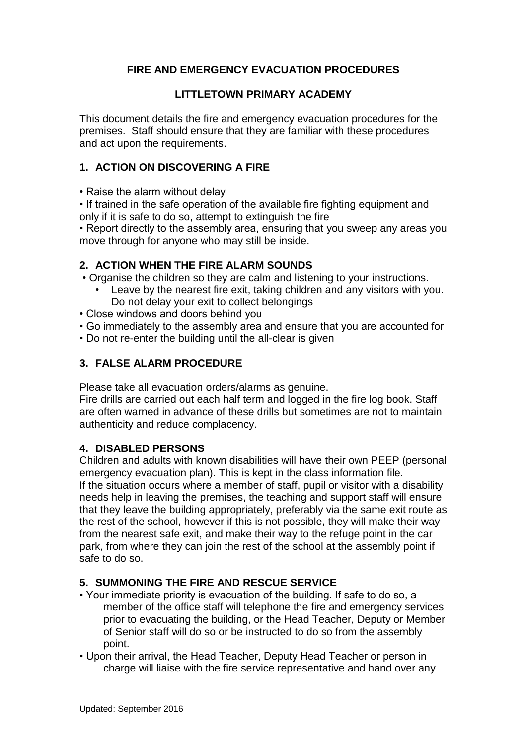## **FIRE AND EMERGENCY EVACUATION PROCEDURES**

### **LITTLETOWN PRIMARY ACADEMY**

This document details the fire and emergency evacuation procedures for the premises. Staff should ensure that they are familiar with these procedures and act upon the requirements.

### **1. ACTION ON DISCOVERING A FIRE**

• Raise the alarm without delay

• If trained in the safe operation of the available fire fighting equipment and only if it is safe to do so, attempt to extinguish the fire

• Report directly to the assembly area, ensuring that you sweep any areas you move through for anyone who may still be inside.

#### **2. ACTION WHEN THE FIRE ALARM SOUNDS**

• Organise the children so they are calm and listening to your instructions.

- Leave by the nearest fire exit, taking children and any visitors with you. Do not delay your exit to collect belongings
- Close windows and doors behind you
- Go immediately to the assembly area and ensure that you are accounted for
- Do not re-enter the building until the all-clear is given

#### **3. FALSE ALARM PROCEDURE**

Please take all evacuation orders/alarms as genuine.

Fire drills are carried out each half term and logged in the fire log book. Staff are often warned in advance of these drills but sometimes are not to maintain authenticity and reduce complacency.

#### **4. DISABLED PERSONS**

Children and adults with known disabilities will have their own PEEP (personal emergency evacuation plan). This is kept in the class information file. If the situation occurs where a member of staff, pupil or visitor with a disability needs help in leaving the premises, the teaching and support staff will ensure that they leave the building appropriately, preferably via the same exit route as the rest of the school, however if this is not possible, they will make their way from the nearest safe exit, and make their way to the refuge point in the car park, from where they can join the rest of the school at the assembly point if safe to do so.

#### **5. SUMMONING THE FIRE AND RESCUE SERVICE**

- Your immediate priority is evacuation of the building. If safe to do so, a member of the office staff will telephone the fire and emergency services prior to evacuating the building, or the Head Teacher, Deputy or Member of Senior staff will do so or be instructed to do so from the assembly point.
- Upon their arrival, the Head Teacher, Deputy Head Teacher or person in charge will liaise with the fire service representative and hand over any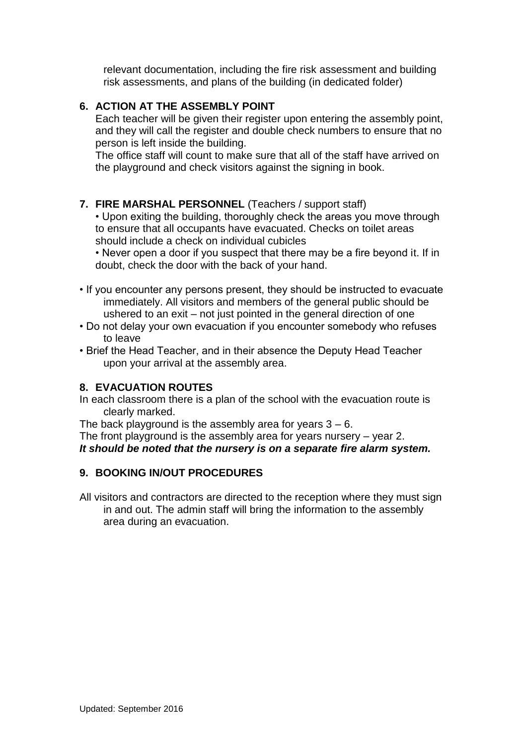relevant documentation, including the fire risk assessment and building risk assessments, and plans of the building (in dedicated folder)

# **6. ACTION AT THE ASSEMBLY POINT**

Each teacher will be given their register upon entering the assembly point, and they will call the register and double check numbers to ensure that no person is left inside the building.

The office staff will count to make sure that all of the staff have arrived on the playground and check visitors against the signing in book.

## **7. FIRE MARSHAL PERSONNEL** (Teachers / support staff)

• Upon exiting the building, thoroughly check the areas you move through to ensure that all occupants have evacuated. Checks on toilet areas should include a check on individual cubicles

• Never open a door if you suspect that there may be a fire beyond it. If in doubt, check the door with the back of your hand.

- If you encounter any persons present, they should be instructed to evacuate immediately. All visitors and members of the general public should be ushered to an exit – not just pointed in the general direction of one
- Do not delay your own evacuation if you encounter somebody who refuses to leave
- Brief the Head Teacher, and in their absence the Deputy Head Teacher upon your arrival at the assembly area.

## **8. EVACUATION ROUTES**

In each classroom there is a plan of the school with the evacuation route is clearly marked.

The back playground is the assembly area for years  $3 - 6$ .

The front playground is the assembly area for years nursery – year 2. *It should be noted that the nursery is on a separate fire alarm system.*

## **9. BOOKING IN/OUT PROCEDURES**

All visitors and contractors are directed to the reception where they must sign in and out. The admin staff will bring the information to the assembly area during an evacuation.